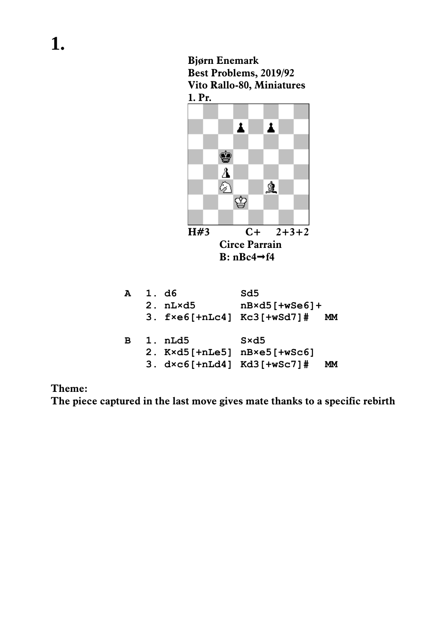**Bjørn Enemark Best Problems, 2019/92 Vito Rallo-80, Miniatures 1. Pr.** 



|  | 2. $K\times d5$ [+nLe5] $nB\times e5$ [+wSc6]    |  |
|--|--------------------------------------------------|--|
|  | $3. d \times c \cdot [+nLd4]$ Kd $3$ [+wSc7]# MM |  |

**Theme:** 

**The piece captured in the last move gives mate thanks to a specific rebirth**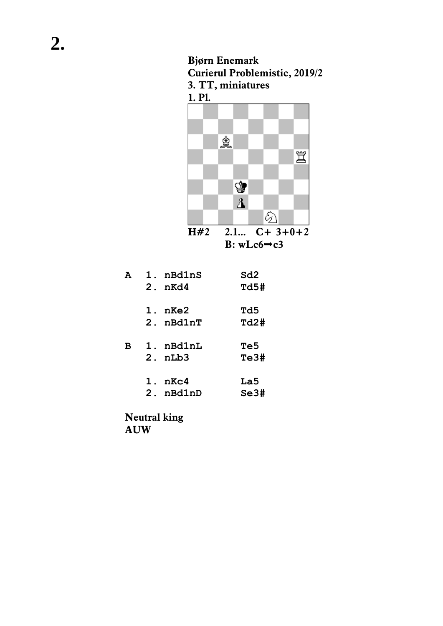



| А | 1. nBd1nS             | Sd2  |
|---|-----------------------|------|
|   | $2.$ nKd4             | Td5# |
|   |                       |      |
|   | $1. n$ Ke $2$         | Td5  |
|   | $2.$ $n$ Bd $1$ n $T$ | Td2# |
|   |                       |      |
| в | 1. nBd1nL             | Te5  |
|   | $2.$ $nLb3$           | Te3# |
|   |                       |      |
|   | 1. nKc4               | La5  |
|   | 2. nBd1nD             | Se3# |
|   |                       |      |
|   |                       |      |

**Neutral king AUW**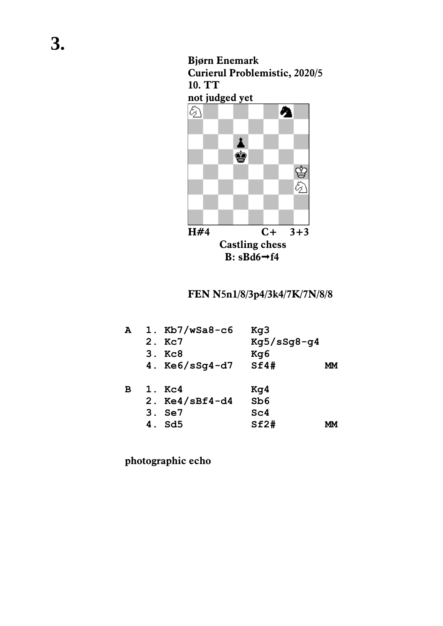## **Bjørn Enemark Curierul Problemistic, 2020/5 10. TT not judged yet**



## **FEN N5n1/8/3p4/3k4/7K/7N/8/8**

| А | 1. $Kb7/wSa8-c6$ | Kg3             |    |
|---|------------------|-----------------|----|
|   | 2. Kc7           | $Kq5/sSq8-q4$   |    |
|   | 3. Kc8           | Kg6             |    |
|   | 4. $Ke6/sSq4-d7$ | Sf4#            | MМ |
| в | 1. Kc4           | Kq4             |    |
|   | 2. $Ke4/sBf4-d4$ | Sb6             |    |
|   | 3. Se7           | Sc <sub>4</sub> |    |
|   | 4. Sd5           | Sf2#            |    |

**photographic echo**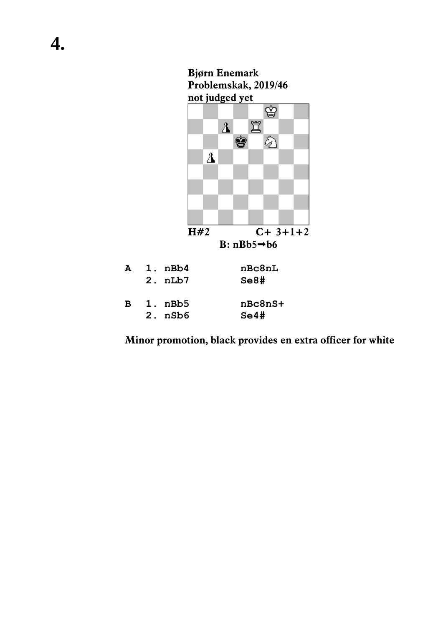

**Minor promotion, black provides en extra officer for white**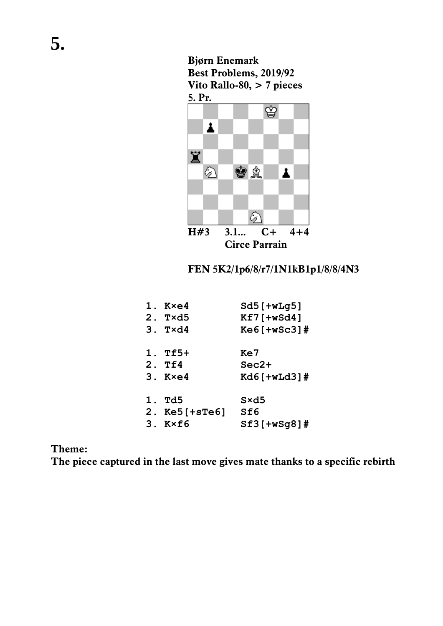

**Bjørn Enemark**

**Best Problems, 2019/92**

- **3. T×d4 Ke6[+wSc3]#**
- **1. Tf5+ Ke7 2. Tf4 Sec2+**
- **3. K×e4 Kd6[+wLd3]#**
- **1. Td5 S×d5 2. Ke5[+sTe6] Sf6 3. K×f6 Sf3[+wSg8]#**

## **Theme:**

**The piece captured in the last move gives mate thanks to a specific rebirth**